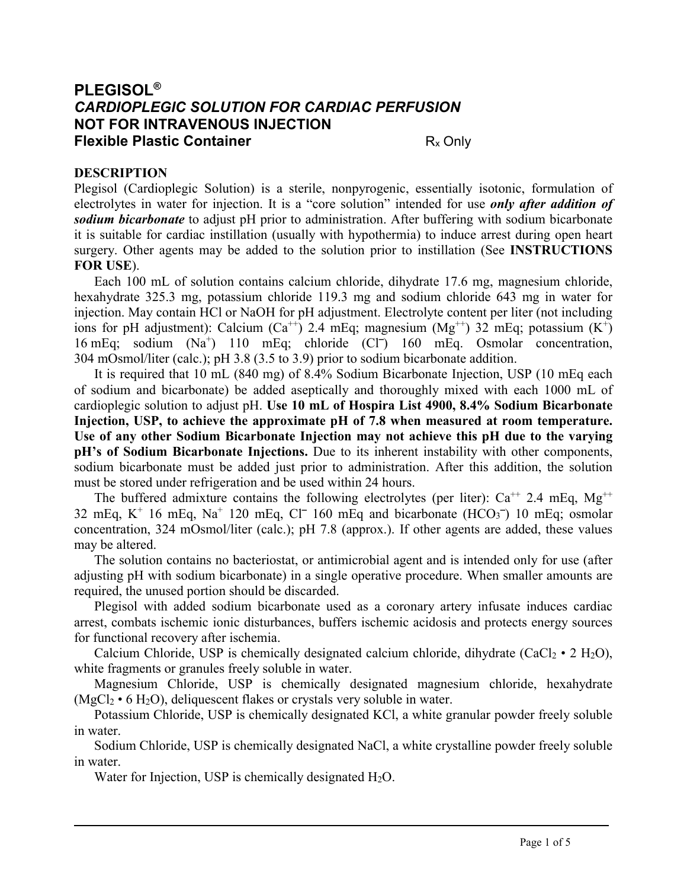# **PLEGISOL®** *CARDIOPLEGIC SOLUTION FOR CARDIAC PERFUSION* **NOT FOR INTRAVENOUS INJECTION Flexible Plastic Container Rx Only Rx Only**

### **DESCRIPTION**

Plegisol (Cardioplegic Solution) is a sterile, nonpyrogenic, essentially isotonic, formulation of electrolytes in water for injection. It is a "core solution" intended for use *only after addition of sodium bicarbonate* to adjust pH prior to administration. After buffering with sodium bicarbonate it is suitable for cardiac instillation (usually with hypothermia) to induce arrest during open heart surgery. Other agents may be added to the solution prior to instillation (See **INSTRUCTIONS FOR USE**).

Each 100 mL of solution contains calcium chloride, dihydrate 17.6 mg, magnesium chloride, hexahydrate 325.3 mg, potassium chloride 119.3 mg and sodium chloride 643 mg in water for injection. May contain HCl or NaOH for pH adjustment. Electrolyte content per liter (not including ions for pH adjustment): Calcium (Ca<sup>++</sup>) 2.4 mEq; magnesium (Mg<sup>++</sup>) 32 mEq; potassium (K<sup>+</sup>) 16 mEq; sodium (Na<sup>+</sup>) 110 mEq; chloride (Cl<sup>-</sup>) 160 mEq. Osmolar concentration, 304 mOsmol/liter (calc.); pH 3.8 (3.5 to 3.9) prior to sodium bicarbonate addition.

It is required that 10 mL (840 mg) of 8.4% Sodium Bicarbonate Injection, USP (10 mEq each of sodium and bicarbonate) be added aseptically and thoroughly mixed with each 1000 mL of cardioplegic solution to adjust pH. **Use 10 mL of Hospira List 4900, 8.4% Sodium Bicarbonate Injection, USP, to achieve the approximate pH of 7.8 when measured at room temperature. Use of any other Sodium Bicarbonate Injection may not achieve this pH due to the varying pH's of Sodium Bicarbonate Injections.** Due to its inherent instability with other components, sodium bicarbonate must be added just prior to administration. After this addition, the solution must be stored under refrigeration and be used within 24 hours.

The buffered admixture contains the following electrolytes (per liter):  $Ca^{++}$  2.4 mEq, Mg<sup>++</sup> 32 mEq,  $K^+$  16 mEq,  $Na^+$  120 mEq,  $Cl^-$  160 mEq and bicarbonate (HCO<sub>3</sub><sup>-</sup>) 10 mEq; osmolar concentration, 324 mOsmol/liter (calc.); pH 7.8 (approx.). If other agents are added, these values may be altered.

The solution contains no bacteriostat, or antimicrobial agent and is intended only for use (after adjusting pH with sodium bicarbonate) in a single operative procedure. When smaller amounts are required, the unused portion should be discarded.

Plegisol with added sodium bicarbonate used as a coronary artery infusate induces cardiac arrest, combats ischemic ionic disturbances, buffers ischemic acidosis and protects energy sources for functional recovery after ischemia.

Calcium Chloride, USP is chemically designated calcium chloride, dihydrate (CaCl<sub>2</sub> • 2 H<sub>2</sub>O), white fragments or granules freely soluble in water.

Magnesium Chloride, USP is chemically designated magnesium chloride, hexahydrate  $(MgCl<sub>2</sub> \cdot 6 H<sub>2</sub>O)$ , deliquescent flakes or crystals very soluble in water.

Potassium Chloride, USP is chemically designated KCl, a white granular powder freely soluble in water.

Sodium Chloride, USP is chemically designated NaCl, a white crystalline powder freely soluble in water.

Water for Injection, USP is chemically designated  $H_2O$ .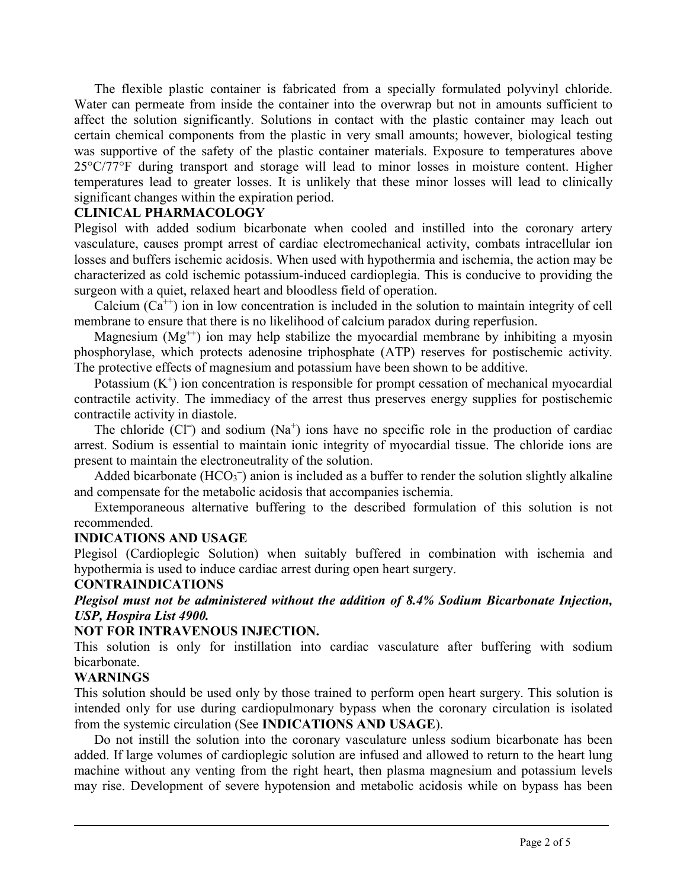The flexible plastic container is fabricated from a specially formulated polyvinyl chloride. Water can permeate from inside the container into the overwrap but not in amounts sufficient to affect the solution significantly. Solutions in contact with the plastic container may leach out certain chemical components from the plastic in very small amounts; however, biological testing was supportive of the safety of the plastic container materials. Exposure to temperatures above 25°C/77°F during transport and storage will lead to minor losses in moisture content. Higher temperatures lead to greater losses. It is unlikely that these minor losses will lead to clinically significant changes within the expiration period.

#### **CLINICAL PHARMACOLOGY**

Plegisol with added sodium bicarbonate when cooled and instilled into the coronary artery vasculature, causes prompt arrest of cardiac electromechanical activity, combats intracellular ion losses and buffers ischemic acidosis. When used with hypothermia and ischemia, the action may be characterized as cold ischemic potassium-induced cardioplegia. This is conducive to providing the surgeon with a quiet, relaxed heart and bloodless field of operation.

Calcium  $(Ca^{+})$  ion in low concentration is included in the solution to maintain integrity of cell membrane to ensure that there is no likelihood of calcium paradox during reperfusion.

Magnesium  $(Mg^{++})$  ion may help stabilize the myocardial membrane by inhibiting a myosin phosphorylase, which protects adenosine triphosphate (ATP) reserves for postischemic activity. The protective effects of magnesium and potassium have been shown to be additive.

Potassium  $(K^+)$  ion concentration is responsible for prompt cessation of mechanical myocardial contractile activity. The immediacy of the arrest thus preserves energy supplies for postischemic contractile activity in diastole.

The chloride  $(C\Gamma)$  and sodium  $(Na^+)$  ions have no specific role in the production of cardiac arrest. Sodium is essential to maintain ionic integrity of myocardial tissue. The chloride ions are present to maintain the electroneutrality of the solution.

Added bicarbonate ( $HCO<sub>3</sub><sup>-</sup>$ ) anion is included as a buffer to render the solution slightly alkaline and compensate for the metabolic acidosis that accompanies ischemia.

Extemporaneous alternative buffering to the described formulation of this solution is not recommended.

#### **INDICATIONS AND USAGE**

Plegisol (Cardioplegic Solution) when suitably buffered in combination with ischemia and hypothermia is used to induce cardiac arrest during open heart surgery.

#### **CONTRAINDICATIONS**

*Plegisol must not be administered without the addition of 8.4% Sodium Bicarbonate Injection, USP, Hospira List 4900.*

#### **NOT FOR INTRAVENOUS INJECTION.**

This solution is only for instillation into cardiac vasculature after buffering with sodium bicarbonate.

#### **WARNINGS**

This solution should be used only by those trained to perform open heart surgery. This solution is intended only for use during cardiopulmonary bypass when the coronary circulation is isolated from the systemic circulation (See **INDICATIONS AND USAGE**).

Do not instill the solution into the coronary vasculature unless sodium bicarbonate has been added. If large volumes of cardioplegic solution are infused and allowed to return to the heart lung machine without any venting from the right heart, then plasma magnesium and potassium levels may rise. Development of severe hypotension and metabolic acidosis while on bypass has been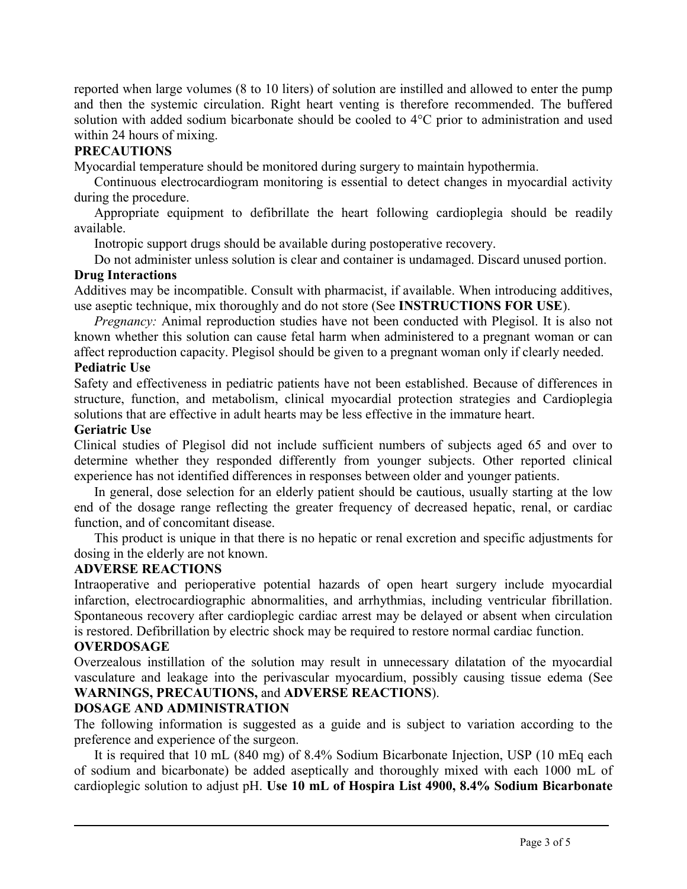reported when large volumes (8 to 10 liters) of solution are instilled and allowed to enter the pump and then the systemic circulation. Right heart venting is therefore recommended. The buffered solution with added sodium bicarbonate should be cooled to 4°C prior to administration and used within 24 hours of mixing.

# **PRECAUTIONS**

Myocardial temperature should be monitored during surgery to maintain hypothermia.

Continuous electrocardiogram monitoring is essential to detect changes in myocardial activity during the procedure.

Appropriate equipment to defibrillate the heart following cardioplegia should be readily available.

Inotropic support drugs should be available during postoperative recovery.

Do not administer unless solution is clear and container is undamaged. Discard unused portion.

### **Drug Interactions**

Additives may be incompatible. Consult with pharmacist, if available. When introducing additives, use aseptic technique, mix thoroughly and do not store (See **INSTRUCTIONS FOR USE**).

*Pregnancy:* Animal reproduction studies have not been conducted with Plegisol. It is also not known whether this solution can cause fetal harm when administered to a pregnant woman or can affect reproduction capacity. Plegisol should be given to a pregnant woman only if clearly needed. **Pediatric Use**

Safety and effectiveness in pediatric patients have not been established. Because of differences in structure, function, and metabolism, clinical myocardial protection strategies and Cardioplegia solutions that are effective in adult hearts may be less effective in the immature heart.

#### **Geriatric Use**

Clinical studies of Plegisol did not include sufficient numbers of subjects aged 65 and over to determine whether they responded differently from younger subjects. Other reported clinical experience has not identified differences in responses between older and younger patients.

In general, dose selection for an elderly patient should be cautious, usually starting at the low end of the dosage range reflecting the greater frequency of decreased hepatic, renal, or cardiac function, and of concomitant disease.

This product is unique in that there is no hepatic or renal excretion and specific adjustments for dosing in the elderly are not known.

#### **ADVERSE REACTIONS**

Intraoperative and perioperative potential hazards of open heart surgery include myocardial infarction, electrocardiographic abnormalities, and arrhythmias, including ventricular fibrillation. Spontaneous recovery after cardioplegic cardiac arrest may be delayed or absent when circulation is restored. Defibrillation by electric shock may be required to restore normal cardiac function.

#### **OVERDOSAGE**

Overzealous instillation of the solution may result in unnecessary dilatation of the myocardial vasculature and leakage into the perivascular myocardium, possibly causing tissue edema (See **WARNINGS, PRECAUTIONS,** and **ADVERSE REACTIONS**).

### **DOSAGE AND ADMINISTRATION**

The following information is suggested as a guide and is subject to variation according to the preference and experience of the surgeon.

It is required that 10 mL (840 mg) of 8.4% Sodium Bicarbonate Injection, USP (10 mEq each of sodium and bicarbonate) be added aseptically and thoroughly mixed with each 1000 mL of cardioplegic solution to adjust pH. **Use 10 mL of Hospira List 4900, 8.4% Sodium Bicarbonate**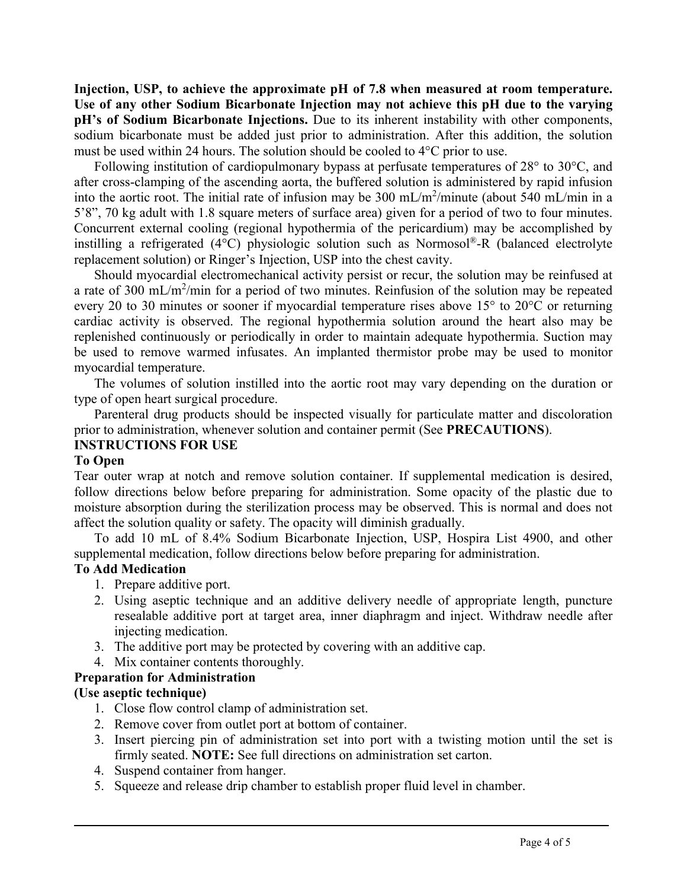**Injection, USP, to achieve the approximate pH of 7.8 when measured at room temperature. Use of any other Sodium Bicarbonate Injection may not achieve this pH due to the varying pH's of Sodium Bicarbonate Injections.** Due to its inherent instability with other components, sodium bicarbonate must be added just prior to administration. After this addition, the solution must be used within 24 hours. The solution should be cooled to 4°C prior to use.

Following institution of cardiopulmonary bypass at perfusate temperatures of 28° to 30°C, and after cross-clamping of the ascending aorta, the buffered solution is administered by rapid infusion into the aortic root. The initial rate of infusion may be 300 mL/m<sup>2</sup>/minute (about 540 mL/min in a 5'8", 70 kg adult with 1.8 square meters of surface area) given for a period of two to four minutes. Concurrent external cooling (regional hypothermia of the pericardium) may be accomplished by instilling a refrigerated (4°C) physiologic solution such as Normosol®-R (balanced electrolyte replacement solution) or Ringer's Injection, USP into the chest cavity.

Should myocardial electromechanical activity persist or recur, the solution may be reinfused at a rate of 300 mL/m<sup>2</sup>/min for a period of two minutes. Reinfusion of the solution may be repeated every 20 to 30 minutes or sooner if myocardial temperature rises above 15° to 20°C or returning cardiac activity is observed. The regional hypothermia solution around the heart also may be replenished continuously or periodically in order to maintain adequate hypothermia. Suction may be used to remove warmed infusates. An implanted thermistor probe may be used to monitor myocardial temperature.

The volumes of solution instilled into the aortic root may vary depending on the duration or type of open heart surgical procedure.

Parenteral drug products should be inspected visually for particulate matter and discoloration prior to administration, whenever solution and container permit (See **PRECAUTIONS**).

# **INSTRUCTIONS FOR USE**

### **To Open**

Tear outer wrap at notch and remove solution container. If supplemental medication is desired, follow directions below before preparing for administration. Some opacity of the plastic due to moisture absorption during the sterilization process may be observed. This is normal and does not affect the solution quality or safety. The opacity will diminish gradually.

To add 10 mL of 8.4% Sodium Bicarbonate Injection, USP, Hospira List 4900, and other supplemental medication, follow directions below before preparing for administration.

### **To Add Medication**

- 1. Prepare additive port.
- 2. Using aseptic technique and an additive delivery needle of appropriate length, puncture resealable additive port at target area, inner diaphragm and inject. Withdraw needle after injecting medication.
- 3. The additive port may be protected by covering with an additive cap.
- 4. Mix container contents thoroughly.

### **Preparation for Administration**

### **(Use aseptic technique)**

- 1. Close flow control clamp of administration set.
- 2. Remove cover from outlet port at bottom of container.
- 3. Insert piercing pin of administration set into port with a twisting motion until the set is firmly seated. **NOTE:** See full directions on administration set carton.
- 4. Suspend container from hanger.
- 5. Squeeze and release drip chamber to establish proper fluid level in chamber.